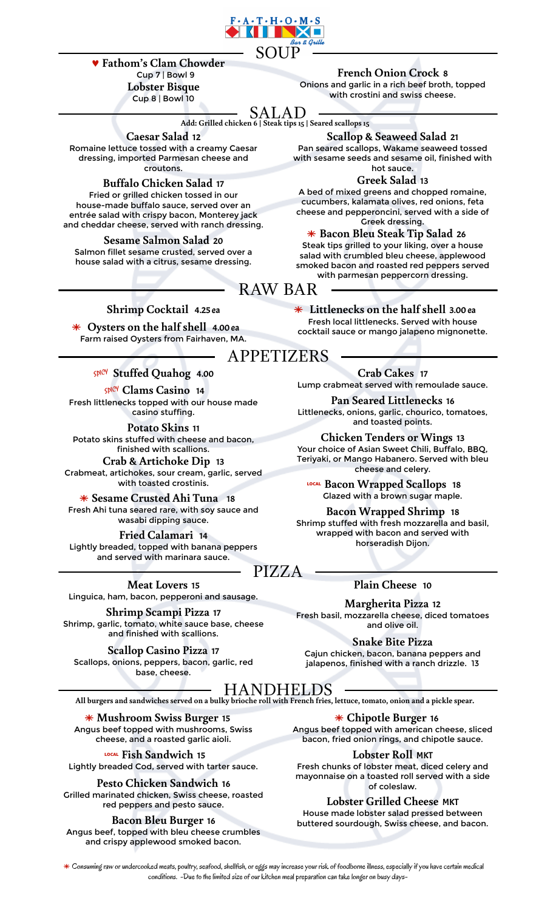

### 0 **Fathom's Clam Chowder**

**Lobster Bisque** Cup 8 | Bowl 10

Cup 7 | Bowl 9 **French Onion Crock** 8

Onions and garlic in a rich beef broth, topped with crostini and swiss cheese.

## SALAD

**Add: Grilled chicken 6 | Steak tips 15 | Seared scallops 15**

**Caesar Salad** 12

Romaine lettuce tossed with a creamy Caesar dressing, imported Parmesan cheese and croutons.

**Buffalo Chicken Salad** 17 Fried or grilled chicken tossed in our house-made buffalo sauce, served over an entrée salad with crispy bacon, Monterey jack and cheddar cheese, served with ranch dressing.

**Sesame Salmon Salad** 20 Salmon fillet sesame crusted, served over a house salad with a citrus, sesame dressing.

**Scallop & Seaweed Salad** 21 Pan seared scallops, Wakame seaweed tossed

with sesame seeds and sesame oil, finished with hot sauce.

**Greek Salad** 13

A bed of mixed greens and chopped romaine, cucumbers, kalamata olives, red onions, feta cheese and pepperoncini, served with a side of Greek dressing.

ª **Bacon Bleu Steak Tip Salad** <sup>26</sup> Steak tips grilled to your liking, over a house salad with crumbled bleu cheese, applewood smoked bacon and roasted red peppers served with parmesan peppercorn dressing.

RAW BAR

## **Shrimp Cocktail** 4.25 ea ª **Littlenecks on the half shell** 3.00 ea

Farm raised Oysters from Fairhaven, MA.

Fresh littlenecks topped with our house made casino stuffing.

Potato skins stuffed with cheese and bacon, finished with scallions.

**Crab & Artichoke Dip** 13 Crabmeat, artichokes, sour cream, garlic, served

**K** Sesame Crusted Ahi Tuna 18 Clazed with a brown sugar maple. Fresh Ahi tuna seared rare, with soy sauce and wasabi dipping sauce.

**Fried Calamari** 14 Lightly breaded, topped with banana peppers and served with marinara sauce.

**Meat Lovers** 15 Linguica, ham, bacon, pepperoni and sausage.

**Shrimp Scampi Pizza** 17 Shrimp, garlic, tomato, white sauce base, cheese and finished with scallions.

**Scallop Casino Pizza** 17 Scallops, onions, peppers, bacon, garlic, red base, cheese.

Fresh local littlenecks. Served with house<br>cocktail sauce or mango jalapeno mignonette. APPETIZERS

º **Stuffed Quahog** 4.00 **Crab Cakes** <sup>17</sup> **Clams Casino 14 Lump crabmeat served with remoulade sauce.** 

**Pan Seared Littlenecks** 16 Littlenecks, onions, garlic, chourico, tomatoes, and toasted points. **Potato Skins** <sup>11</sup>

**Chicken Tenders or Wings** 13 Your choice of Asian Sweet Chili, Buffalo, BBQ, Teriyaki, or Mango Habanero. Served with bleu cheese and celery.

with toasted crostinis. 7 **Bacon Wrapped Scallops** <sup>18</sup>

**Bacon Wrapped Shrimp** 18 Shrimp stuffed with fresh mozzarella and basil, wrapped with bacon and served with horseradish Dijon.

## **Plain Cheese** 10

**Margherita Pizza** 12 Fresh basil, mozzarella cheese, diced tomatoes and olive oil.

**Snake Bite Pizza** Cajun chicken, bacon, banana peppers and jalapenos, finished with a ranch drizzle. 13

HANDHELDS

PIZZA

**All burgers and sandwiches served on a bulky brioche roll with French fries, lettuce, tomato, onion and a pickle spear.**

ª **Mushroom Swiss Burger** <sup>15</sup> Angus beef topped with mushrooms, Swiss cheese, and a roasted garlic aioli.

7 **Fish Sandwich** <sup>15</sup> Lightly breaded Cod, served with tarter sauce.

Pesto Chicken Sandwich 16 Grilled marinated chicken, Swiss cheese, roasted red peppers and pesto sauce. **Lobster Grilled Cheese** MKT

Angus beef, topped with bleu cheese crumbles and crispy applewood smoked bacon.

ª **Chipotle Burger** <sup>16</sup> Angus beef topped with american cheese, sliced bacon, fried onion rings, and chipotle sauce.

**Lobster Roll** MKT

Fresh chunks of lobster meat, diced celery and mayonnaise on a toasted roll served with a side **Pesto Chicken Sandwich** of coleslaw.

How Bileu Burger 16 buttered sourdough, Swiss cheese, and bacon.

 $\ast$  Consuming raw or undercooked meats, poultry, seafood, shellfish, or eggs may increase your risk of foodborne illness, especially if you have certain medical conditions. -Due to the limited size of our kitchen meal preparation can take longer on busy days-